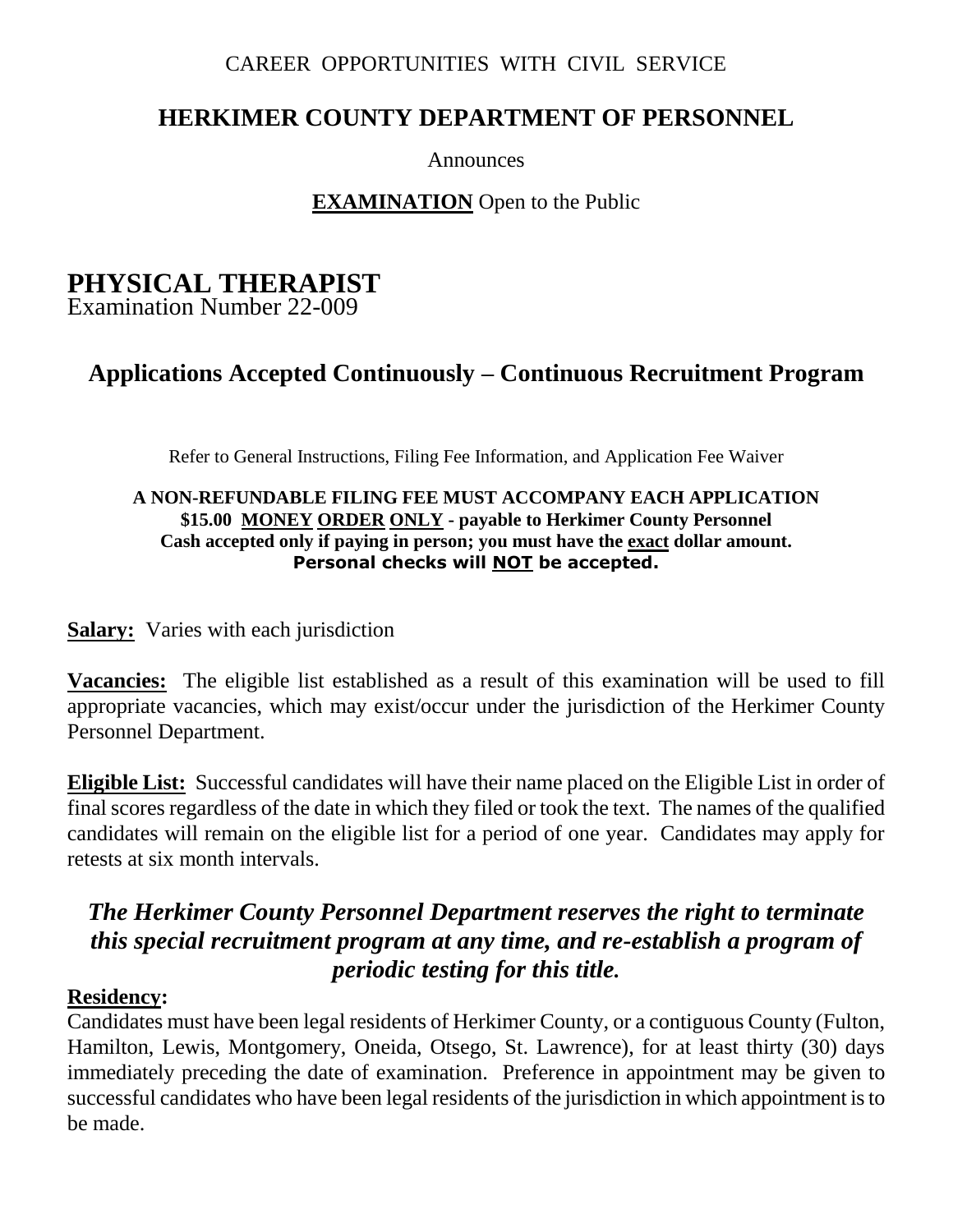#### CAREER OPPORTUNITIES WITH CIVIL SERVICE

# **HERKIMER COUNTY DEPARTMENT OF PERSONNEL**

Announces

#### **EXAMINATION** Open to the Public

# **PHYSICAL THERAPIST**

Examination Number 22-009

# **Applications Accepted Continuously – Continuous Recruitment Program**

Refer to General Instructions, Filing Fee Information, and Application Fee Waiver

#### **A NON-REFUNDABLE FILING FEE MUST ACCOMPANY EACH APPLICATION \$15.00 MONEY ORDER ONLY - payable to Herkimer County Personnel Cash accepted only if paying in person; you must have the exact dollar amount. Personal checks will NOT be accepted.**

**Salary:** Varies with each jurisdiction

**Vacancies:** The eligible list established as a result of this examination will be used to fill appropriate vacancies, which may exist/occur under the jurisdiction of the Herkimer County Personnel Department.

**Eligible List:** Successful candidates will have their name placed on the Eligible List in order of final scores regardless of the date in which they filed or took the text. The names of the qualified candidates will remain on the eligible list for a period of one year. Candidates may apply for retests at six month intervals.

# *The Herkimer County Personnel Department reserves the right to terminate this special recruitment program at any time, and re-establish a program of periodic testing for this title.*

#### **Residency:**

Candidates must have been legal residents of Herkimer County, or a contiguous County (Fulton, Hamilton, Lewis, Montgomery, Oneida, Otsego, St. Lawrence), for at least thirty (30) days immediately preceding the date of examination. Preference in appointment may be given to successful candidates who have been legal residents of the jurisdiction in which appointment is to be made.